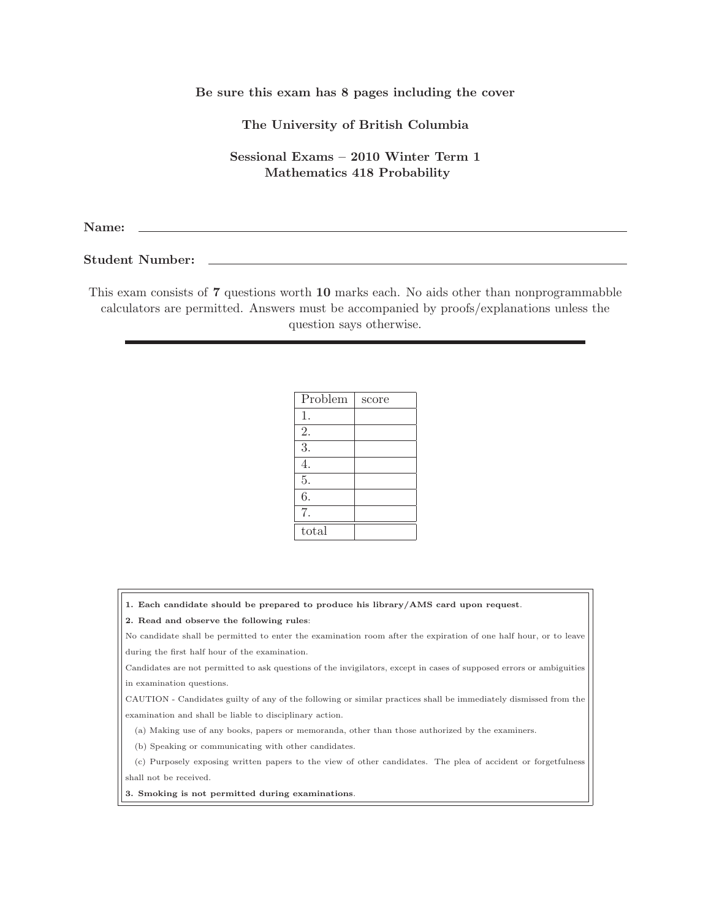## Be sure this exam has 8 pages including the cover

The University of British Columbia

Sessional Exams – 2010 Winter Term 1 Mathematics 418 Probability

Name:

Student Number:

This exam consists of 7 questions worth 10 marks each. No aids other than nonprogrammabble calculators are permitted. Answers must be accompanied by proofs/explanations unless the question says otherwise.

| Problem | score |
|---------|-------|
| 1.      |       |
| 2.      |       |
| 3.      |       |
| 4.      |       |
| 5.      |       |
| 6.      |       |
| 7.      |       |
| total   |       |

|  |  | 1. Each candidate should be prepared to produce his library/AMS card upon request. |  |  |  |  |  |  |  |  |  |  |  |
|--|--|------------------------------------------------------------------------------------|--|--|--|--|--|--|--|--|--|--|--|
|--|--|------------------------------------------------------------------------------------|--|--|--|--|--|--|--|--|--|--|--|

## 2. Read and observe the following rules:

No candidate shall be permitted to enter the examination room after the expiration of one half hour, or to leave during the first half hour of the examination.

Candidates are not permitted to ask questions of the invigilators, except in cases of supposed errors or ambiguities in examination questions.

CAUTION - Candidates guilty of any of the following or similar practices shall be immediately dismissed from the examination and shall be liable to disciplinary action.

(a) Making use of any books, papers or memoranda, other than those authorized by the examiners.

(b) Speaking or communicating with other candidates.

(c) Purposely exposing written papers to the view of other candidates. The plea of accident or forgetfulness shall not be received.

3. Smoking is not permitted during examinations.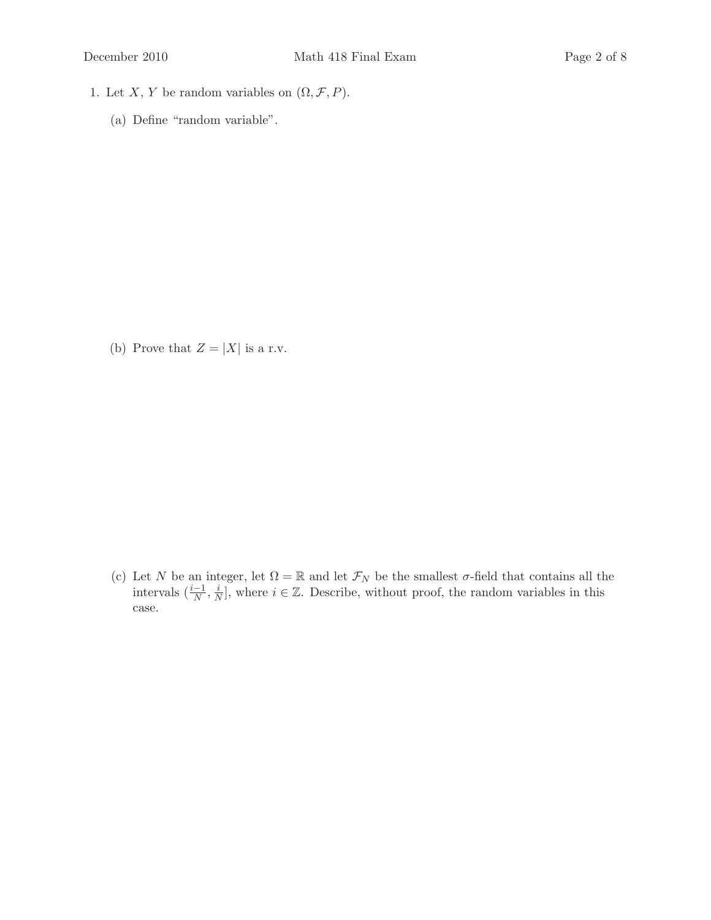- 1. Let X, Y be random variables on  $(\Omega, \mathcal{F}, P)$ .
	- (a) Define "random variable".

(b) Prove that  $Z = |X|$  is a r.v.

(c) Let N be an integer, let  $\Omega = \mathbb{R}$  and let  $\mathcal{F}_N$  be the smallest  $\sigma$ -field that contains all the intervals  $(\frac{i-1}{N}, \frac{i}{N})$  $\frac{i}{N}$ , where  $i \in \mathbb{Z}$ . Describe, without proof, the random variables in this case.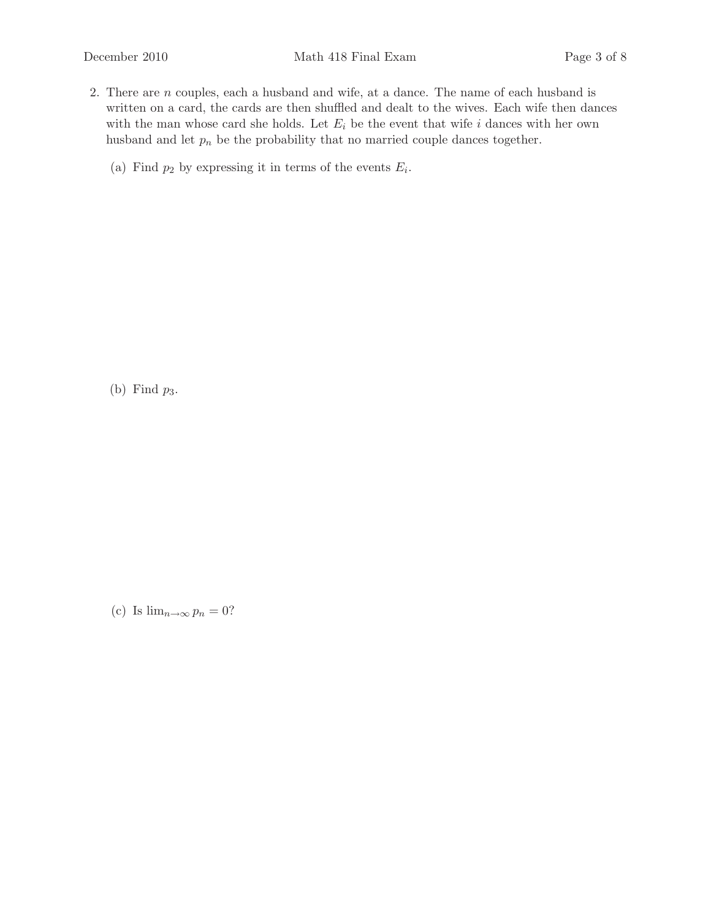- 2. There are n couples, each a husband and wife, at a dance. The name of each husband is written on a card, the cards are then shuffled and dealt to the wives. Each wife then dances with the man whose card she holds. Let  $E_i$  be the event that wife i dances with her own husband and let  $p_n$  be the probability that no married couple dances together.
	- (a) Find  $p_2$  by expressing it in terms of the events  $E_i$ .

(b) Find  $p_3$ .

(c) Is  $\lim_{n\to\infty} p_n = 0$ ?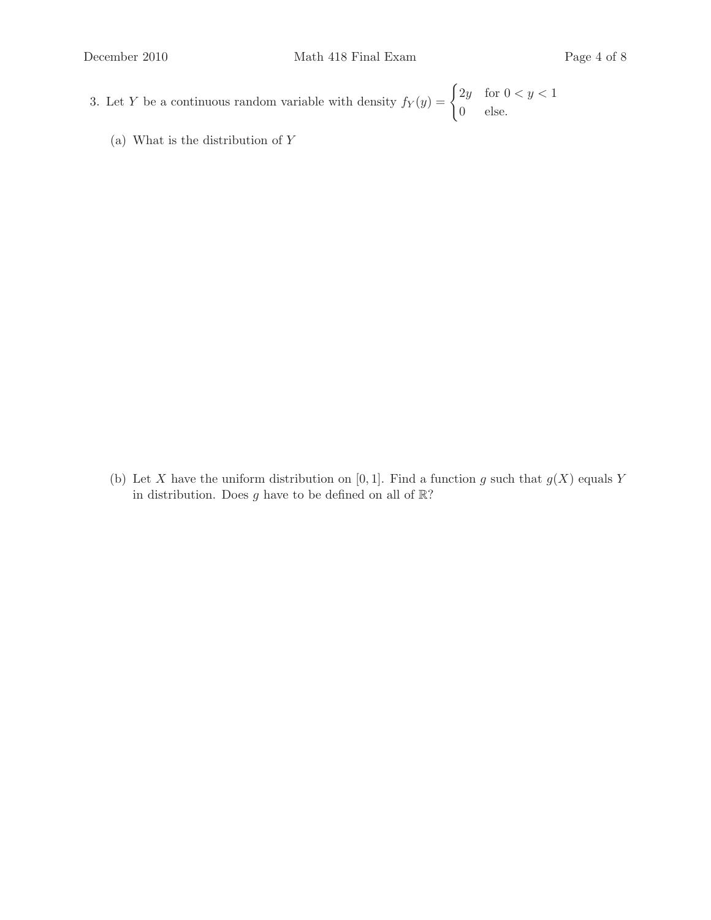- 3. Let Y be a continuous random variable with density  $f_Y(y) = \begin{cases} 2y & \text{for } 0 < y < 1 \\ 0 & \text{otherwise} \end{cases}$ 0 else.
	- (a) What is the distribution of Y

(b) Let X have the uniform distribution on [0,1]. Find a function g such that  $g(X)$  equals Y in distribution. Does  $g$  have to be defined on all of  $\mathbb{R}$ ?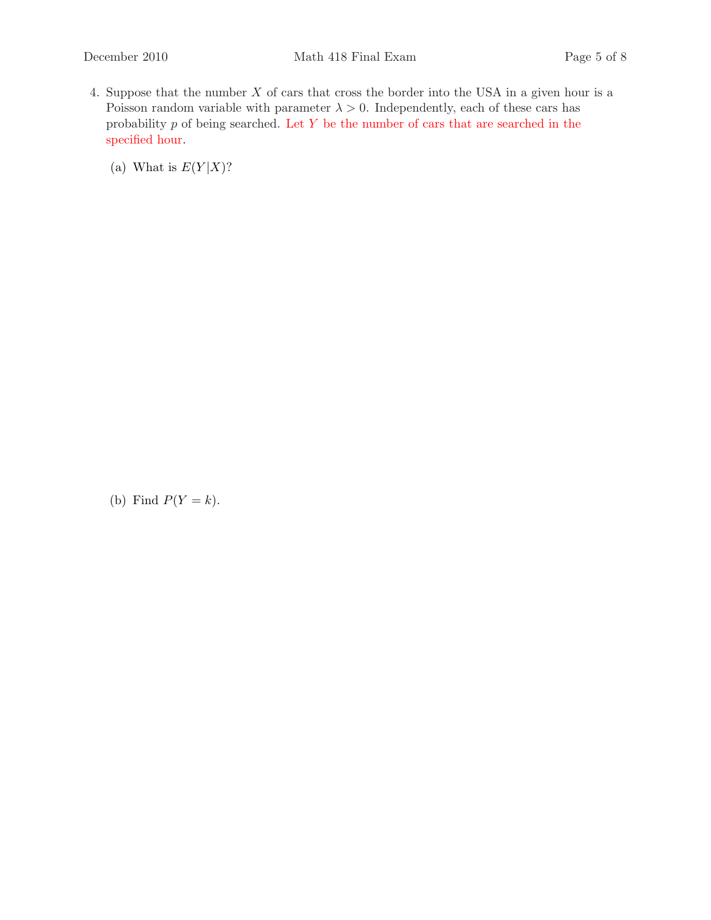- 4. Suppose that the number X of cars that cross the border into the USA in a given hour is a Poisson random variable with parameter  $\lambda > 0$ . Independently, each of these cars has probability  $p$  of being searched. Let  $Y$  be the number of cars that are searched in the specified hour.
	- (a) What is  $E(Y|X)$ ?

(b) Find  $P(Y = k)$ .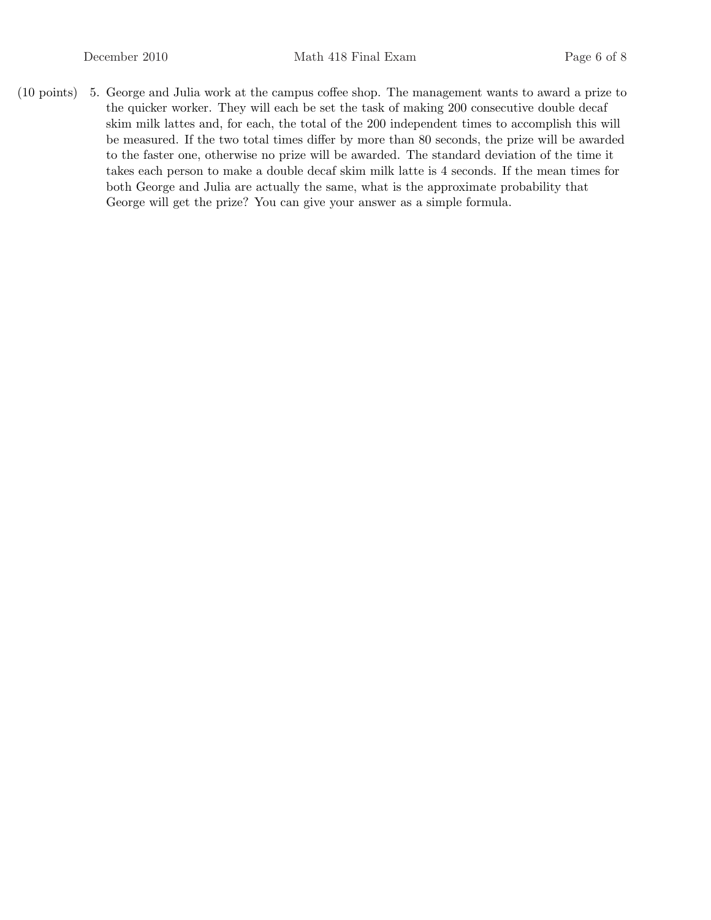(10 points) 5. George and Julia work at the campus coffee shop. The management wants to award a prize to the quicker worker. They will each be set the task of making 200 consecutive double decaf skim milk lattes and, for each, the total of the 200 independent times to accomplish this will be measured. If the two total times differ by more than 80 seconds, the prize will be awarded to the faster one, otherwise no prize will be awarded. The standard deviation of the time it takes each person to make a double decaf skim milk latte is 4 seconds. If the mean times for both George and Julia are actually the same, what is the approximate probability that George will get the prize? You can give your answer as a simple formula.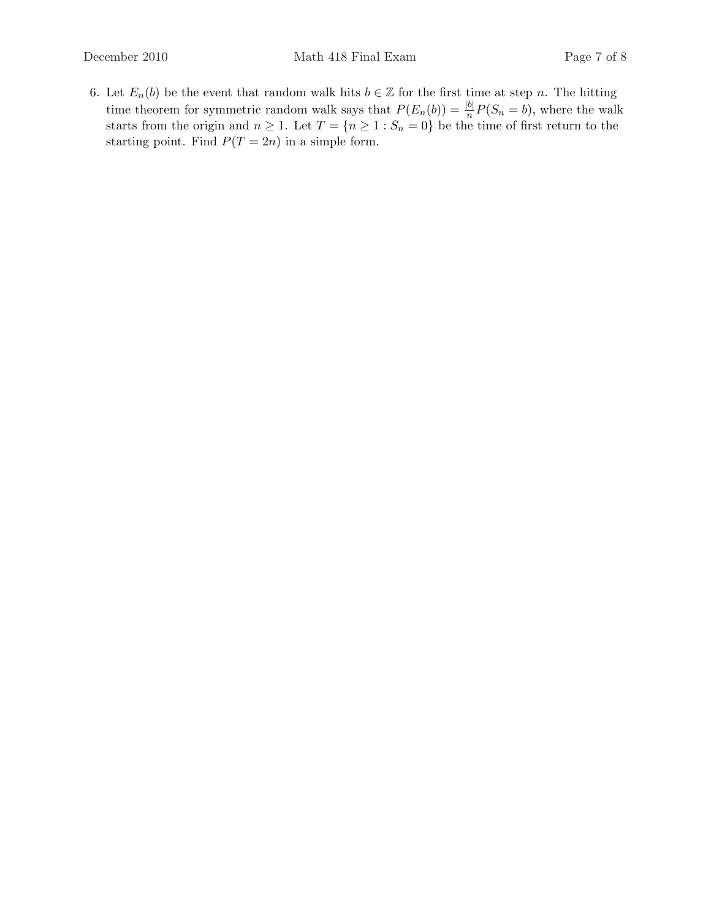6. Let  $E_n(b)$  be the event that random walk hits  $b \in \mathbb{Z}$  for the first time at step n. The hitting time theorem for symmetric random walk says that  $P(E_n(b)) = \frac{|b|}{n} P(S_n = b)$ , where the walk starts from the origin and  $n \geq 1$ . Let  $T = \{n \geq 1 : S_n = 0\}$  be the time of first return to the starting point. Find  $P(T = 2n)$  in a simple form.